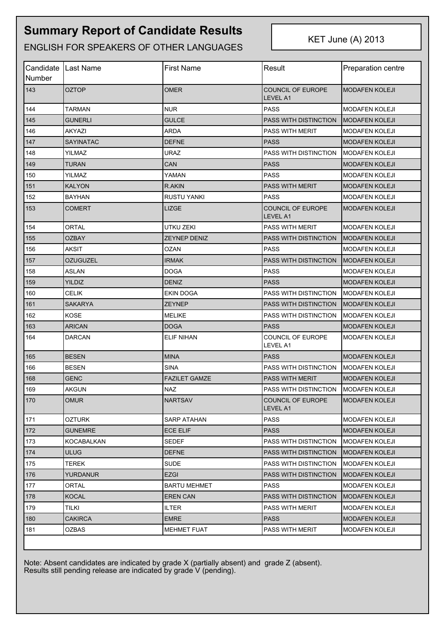## **Summary Report of Candidate Results**

ENGLISH FOR SPEAKERS OF OTHER LANGUAGES

KET June (A) 2013

| <b>Number</b> | Candidate   Last Name | First Name           | Result                               | <b>Preparation centre</b> |
|---------------|-----------------------|----------------------|--------------------------------------|---------------------------|
| 143           | OZTOP                 | <b>OMER</b>          | COUNCIL OF EUROPE<br><b>LEVEL A1</b> | MODAFEN KOLEJI            |
| 144           | TARMAN                | <b>NUR</b>           | <b>PASS</b>                          | <b>MODAFEN KOLEJI</b>     |
| 145           | <b>GUNERLI</b>        | <b>GULCE</b>         | PASS WITH DISTINCTION                | <b>IMODAFEN KOLEJI</b>    |
| 146           | AKYAZI                | <b>ARDA</b>          | <b>PASS WITH MERIT</b>               | <b>MODAFEN KOLEJI</b>     |
| 147           | <b>SAYINATAC</b>      | <b>DEFNE</b>         | <b>PASS</b>                          | <b>MODAFEN KOLEJI</b>     |
| 148           | YILMAZ                | <b>URAZ</b>          | PASS WITH DISTINCTION                | <b>MODAFEN KOLEJI</b>     |
| 149           | TURAN                 | CAN                  | <b>PASS</b>                          | <b>MODAFEN KOLEJI</b>     |
| 150           | YILMAZ                | YAMAN                | <b>PASS</b>                          | <b>MODAFEN KOLEJI</b>     |
| 151           | <b>KALYON</b>         | R.AKIN               | <b>PASS WITH MERIT</b>               | <b>MODAFEN KOLEJI</b>     |
| 152           | <b>BAYHAN</b>         | <b>RUSTU YANKI</b>   | <b>PASS</b>                          | <b>MODAFEN KOLEJI</b>     |
| 153           | COMERT                | LIZGE                | <b>COUNCIL OF EUROPE</b><br>LEVEL A1 | <b>MODAFEN KOLEJI</b>     |
| 154           | <b>ORTAL</b>          | <b>UTKU ZEKI</b>     | <b>PASS WITH MERIT</b>               | <b>MODAFEN KOLEJI</b>     |
| 155           | OZBAY                 | <b>ZEYNEP DENIZ</b>  | <b>PASS WITH DISTINCTION</b>         | <b>MODAFEN KOLEJI</b>     |
| 156           | AKSIT                 | OZAN                 | <b>PASS</b>                          | <b>MODAFEN KOLEJI</b>     |
| 157           | OZUGUZEL              | <b>IRMAK</b>         | <b>PASS WITH DISTINCTION</b>         | <b>MODAFEN KOLEJI</b>     |
| 158           | ASLAN                 | DOGA                 | <b>PASS</b>                          | <b>MODAFEN KOLEJI</b>     |
| 159           | YILDIZ                | <b>DENIZ</b>         | <b>PASS</b>                          | <b>MODAFEN KOLEJI</b>     |
| 160           | CELIK                 | <b>EKIN DOGA</b>     | <b>PASS WITH DISTINCTION</b>         | <b>MODAFEN KOLEJI</b>     |
| 161           | <b>SAKARYA</b>        | <b>ZEYNEP</b>        | <b>PASS WITH DISTINCTION</b>         | <b>IMODAFEN KOLEJI</b>    |
| 162           | KOSE                  | MELIKE               | PASS WITH DISTINCTION                | MODAFEN KOLEJI            |
| 163           | <b>ARICAN</b>         | <b>DOGA</b>          | <b>PASS</b>                          | <b>MODAFEN KOLEJI</b>     |
| 164           | DARCAN                | <b>ELIF NIHAN</b>    | COUNCIL OF EUROPE<br>LEVEL A1        | <b>MODAFEN KOLEJI</b>     |
| 165           | <b>BESEN</b>          | <b>MINA</b>          | <b>PASS</b>                          | <b>MODAFEN KOLEJI</b>     |
| 166           | <b>BESEN</b>          | <b>SINA</b>          | <b>PASS WITH DISTINCTION</b>         | <b>MODAFEN KOLEJI</b>     |
| 168           | GENC                  | <b>FAZILET GAMZE</b> | <b>PASS WITH MERIT</b>               | <b>MODAFEN KOLEJI</b>     |
| 169           | <b>AKGUN</b>          | <b>NAZ</b>           | PASS WITH DISTINCTION                | MODAFEN KOLEJI            |
| 170           | <b>OMUR</b>           | <b>NARTSAV</b>       | COUNCIL OF EUROPE<br>LEVEL A1        | <b>MODAFEN KOLEJI</b>     |
| 171           | OZTURK                | SARP ATAHAN          | <b>PASS</b>                          | <b>MODAFEN KOLEJI</b>     |
| 172           | <b>GUNEMRE</b>        | <b>ECE ELIF</b>      | <b>PASS</b>                          | <b>MODAFEN KOLEJI</b>     |
| 173           | <b>KOCABALKAN</b>     | <b>SEDEF</b>         | <b>PASS WITH DISTINCTION</b>         | MODAFEN KOLEJI            |
| 174           | <b>ULUG</b>           | <b>DEFNE</b>         | PASS WITH DISTINCTION                | <b>IMODAFEN KOLEJI</b>    |
| 175           | TEREK                 | SUDE                 | PASS WITH DISTINCTION                | <b>MODAFEN KOLEJI</b>     |
| 176           | <b>YURDANUR</b>       | <b>EZGI</b>          | PASS WITH DISTINCTION                | <b>IMODAFEN KOLEJI</b>    |
| 177           | ORTAL                 | <b>BARTU MEHMET</b>  | <b>PASS</b>                          | <b>MODAFEN KOLEJI</b>     |
| 178           | <b>KOCAL</b>          | <b>EREN CAN</b>      | PASS WITH DISTINCTION                | <b>MODAFEN KOLEJI</b>     |
| 179           | TILKI                 | <b>ILTER</b>         | PASS WITH MERIT                      | <b>MODAFEN KOLEJI</b>     |
| 180           | <b>CAKIRCA</b>        | <b>EMRE</b>          | <b>PASS</b>                          | <b>MODAFEN KOLEJI</b>     |
| 181           | OZBAS                 | <b>MEHMET FUAT</b>   | <b>PASS WITH MERIT</b>               | <b>MODAFEN KOLEJI</b>     |

Note: Absent candidates are indicated by grade X (partially absent) and grade Z (absent). Results still pending release are indicated by grade V (pending).